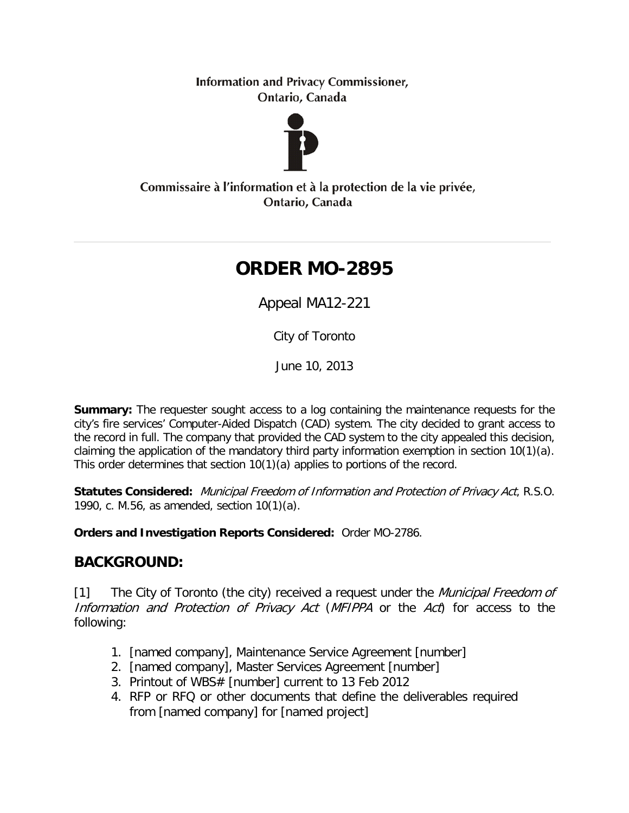**Information and Privacy Commissioner,** Ontario, Canada



Commissaire à l'information et à la protection de la vie privée, Ontario, Canada

# **ORDER MO-2895**

Appeal MA12-221

City of Toronto

June 10, 2013

**Summary:** The requester sought access to a log containing the maintenance requests for the city's fire services' Computer-Aided Dispatch (CAD) system. The city decided to grant access to the record in full. The company that provided the CAD system to the city appealed this decision, claiming the application of the mandatory third party information exemption in section 10(1)(a). This order determines that section 10(1)(a) applies to portions of the record.

**Statutes Considered:** Municipal Freedom of Information and Protection of Privacy Act, R.S.O. 1990, c. M.56, as amended, section 10(1)(a).

**Orders and Investigation Reports Considered:** Order MO-2786.

# **BACKGROUND:**

[1] The City of Toronto (the city) received a request under the *Municipal Freedom of* Information and Protection of Privacy Act (MFIPPA or the Act) for access to the following:

- 1. [named company], Maintenance Service Agreement [number]
- 2. [named company], Master Services Agreement [number]
- 3. Printout of WBS# [number] current to 13 Feb 2012
- 4. RFP or RFQ or other documents that define the deliverables required from [named company] for [named project]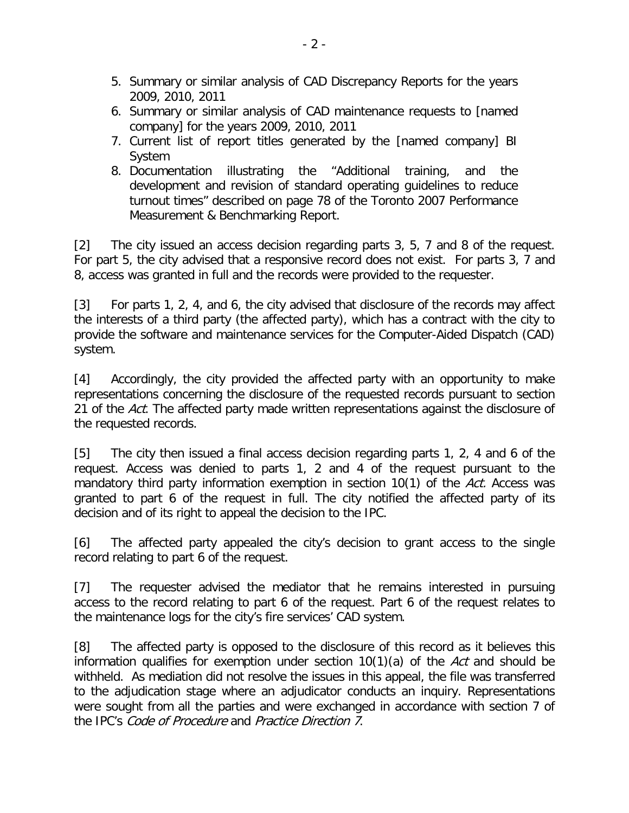- 5. Summary or similar analysis of CAD Discrepancy Reports for the years 2009, 2010, 2011
- 6. Summary or similar analysis of CAD maintenance requests to [named company] for the years 2009, 2010, 2011
- 7. Current list of report titles generated by the [named company] BI System
- 8. Documentation illustrating the "Additional training, and the development and revision of standard operating guidelines to reduce turnout times" described on page 78 of the Toronto 2007 Performance Measurement & Benchmarking Report.

[2] The city issued an access decision regarding parts 3, 5, 7 and 8 of the request. For part 5, the city advised that a responsive record does not exist. For parts 3, 7 and 8, access was granted in full and the records were provided to the requester.

[3] For parts 1, 2, 4, and 6, the city advised that disclosure of the records may affect the interests of a third party (the affected party), which has a contract with the city to provide the software and maintenance services for the Computer-Aided Dispatch (CAD) system.

[4] Accordingly, the city provided the affected party with an opportunity to make representations concerning the disclosure of the requested records pursuant to section 21 of the Act. The affected party made written representations against the disclosure of the requested records.

[5] The city then issued a final access decision regarding parts 1, 2, 4 and 6 of the request. Access was denied to parts 1, 2 and 4 of the request pursuant to the mandatory third party information exemption in section 10(1) of the Act. Access was granted to part 6 of the request in full. The city notified the affected party of its decision and of its right to appeal the decision to the IPC.

[6] The affected party appealed the city's decision to grant access to the single record relating to part 6 of the request.

[7] The requester advised the mediator that he remains interested in pursuing access to the record relating to part 6 of the request. Part 6 of the request relates to the maintenance logs for the city's fire services' CAD system.

[8] The affected party is opposed to the disclosure of this record as it believes this information qualifies for exemption under section  $10(1)(a)$  of the Act and should be withheld. As mediation did not resolve the issues in this appeal, the file was transferred to the adjudication stage where an adjudicator conducts an inquiry. Representations were sought from all the parties and were exchanged in accordance with section 7 of the IPC's Code of Procedure and Practice Direction 7.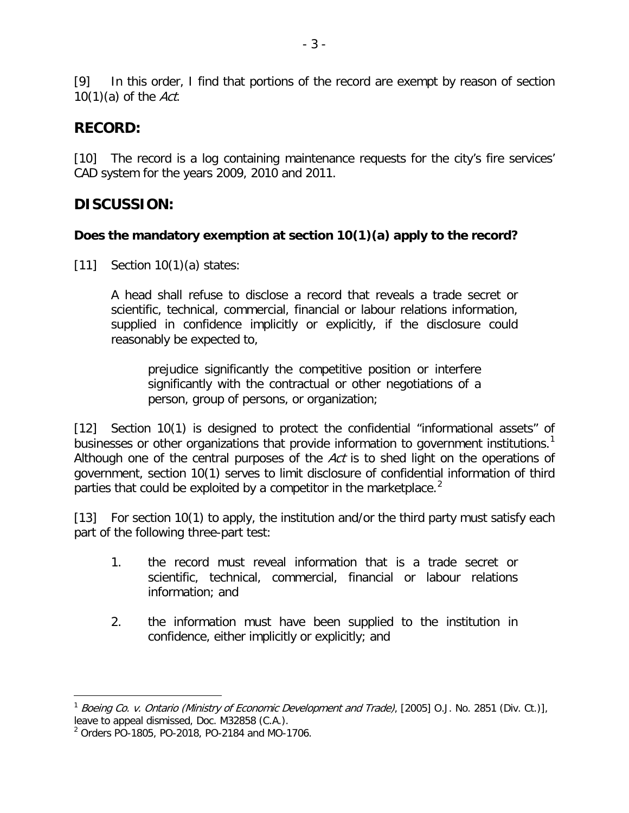[9] In this order, I find that portions of the record are exempt by reason of section  $10(1)(a)$  of the Act.

# **RECORD:**

[10] The record is a log containing maintenance requests for the city's fire services' CAD system for the years 2009, 2010 and 2011.

# **DISCUSSION:**

## **Does the mandatory exemption at section 10(1)(a) apply to the record?**

[11] Section  $10(1)(a)$  states:

A head shall refuse to disclose a record that reveals a trade secret or scientific, technical, commercial, financial or labour relations information, supplied in confidence implicitly or explicitly, if the disclosure could reasonably be expected to,

prejudice significantly the competitive position or interfere significantly with the contractual or other negotiations of a person, group of persons, or organization;

[12] Section 10(1) is designed to protect the confidential "informational assets" of businesses or other organizations that provide information to government institutions.<sup>[1](#page-2-0)</sup> Although one of the central purposes of the Act is to shed light on the operations of government, section 10(1) serves to limit disclosure of confidential information of third parties that could be exploited by a competitor in the marketplace.<sup>[2](#page-2-1)</sup>

[13] For section 10(1) to apply, the institution and/or the third party must satisfy each part of the following three-part test:

- 1. the record must reveal information that is a trade secret or scientific, technical, commercial, financial or labour relations information; and
- 2. the information must have been supplied to the institution in confidence, either implicitly or explicitly; and

<span id="page-2-0"></span><sup>&</sup>lt;sup>1</sup> Boeing Co. v. Ontario (Ministry of Economic Development and Trade), [2005] O.J. No. 2851 (Div. Ct.)], leave to appeal dismissed, Doc. M32858 (C.A.).<br><sup>2</sup> Orders PO-1805, PO-2018, PO-2184 and MO-1706.

<span id="page-2-1"></span>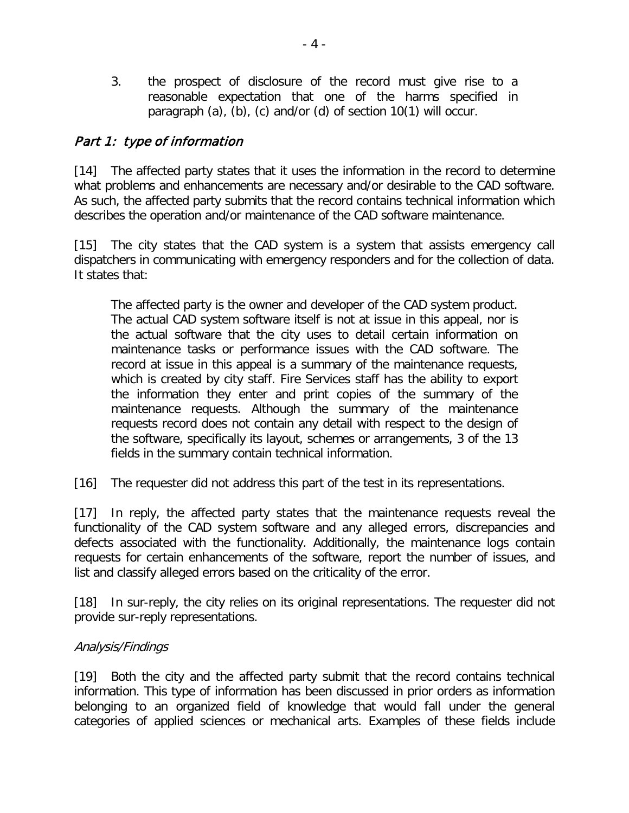3. the prospect of disclosure of the record must give rise to a reasonable expectation that one of the harms specified in paragraph (a), (b), (c) and/or (d) of section 10(1) will occur.

#### Part 1: type of information

[14] The affected party states that it uses the information in the record to determine what problems and enhancements are necessary and/or desirable to the CAD software. As such, the affected party submits that the record contains technical information which describes the operation and/or maintenance of the CAD software maintenance.

[15] The city states that the CAD system is a system that assists emergency call dispatchers in communicating with emergency responders and for the collection of data. It states that:

The affected party is the owner and developer of the CAD system product. The actual CAD system software itself is not at issue in this appeal, nor is the actual software that the city uses to detail certain information on maintenance tasks or performance issues with the CAD software. The record at issue in this appeal is a summary of the maintenance requests, which is created by city staff. Fire Services staff has the ability to export the information they enter and print copies of the summary of the maintenance requests. Although the summary of the maintenance requests record does not contain any detail with respect to the design of the software, specifically its layout, schemes or arrangements, 3 of the 13 fields in the summary contain technical information.

[16] The requester did not address this part of the test in its representations.

[17] In reply, the affected party states that the maintenance requests reveal the functionality of the CAD system software and any alleged errors, discrepancies and defects associated with the functionality. Additionally, the maintenance logs contain requests for certain enhancements of the software, report the number of issues, and list and classify alleged errors based on the criticality of the error.

[18] In sur-reply, the city relies on its original representations. The requester did not provide sur-reply representations.

#### Analysis/Findings

[19] Both the city and the affected party submit that the record contains technical information. This type of information has been discussed in prior orders as information belonging to an organized field of knowledge that would fall under the general categories of applied sciences or mechanical arts. Examples of these fields include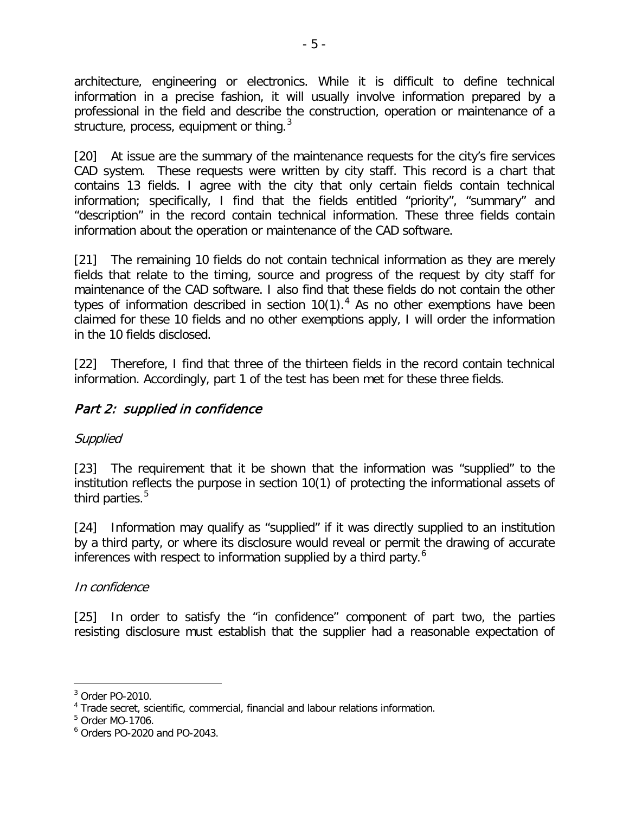architecture, engineering or electronics. While it is difficult to define technical information in a precise fashion, it will usually involve information prepared by a professional in the field and describe the construction, operation or maintenance of a .<br>structure, process, equipment or thing.<sup>[3](#page-4-0)</sup>

[20] At issue are the summary of the maintenance requests for the city's fire services CAD system. These requests were written by city staff. This record is a chart that contains 13 fields. I agree with the city that only certain fields contain technical information; specifically, I find that the fields entitled "priority", "summary" and "description" in the record contain technical information. These three fields contain information about the operation or maintenance of the CAD software.

[21] The remaining 10 fields do not contain technical information as they are merely fields that relate to the timing, source and progress of the request by city staff for maintenance of the CAD software. I also find that these fields do not contain the other types of information described in section  $10(1)$ .<sup>[4](#page-4-1)</sup> As no other exemptions have been claimed for these 10 fields and no other exemptions apply, I will order the information in the 10 fields disclosed.

[22] Therefore, I find that three of the thirteen fields in the record contain technical information. Accordingly, part 1 of the test has been met for these three fields.

## Part 2: supplied in confidence

## Supplied

[23] The requirement that it be shown that the information was "supplied" to the institution reflects the purpose in section 10(1) of protecting the informational assets of third parties.<sup>[5](#page-4-2)</sup>

[24] Information may qualify as "supplied" if it was directly supplied to an institution by a third party, or where its disclosure would reveal or permit the drawing of accurate inferences with respect to information supplied by a third party. [6](#page-4-3)

#### In confidence

[25] In order to satisfy the "in confidence" component of part two, the parties resisting disclosure must establish that the supplier had a reasonable expectation of

<span id="page-4-0"></span><sup>3</sup> Order PO-2010.

<span id="page-4-1"></span><sup>4</sup> Trade secret, scientific, commercial, financial and labour relations information.

<span id="page-4-2"></span><sup>5</sup> Order MO-1706.

<span id="page-4-3"></span><sup>6</sup> Orders PO-2020 and PO-2043.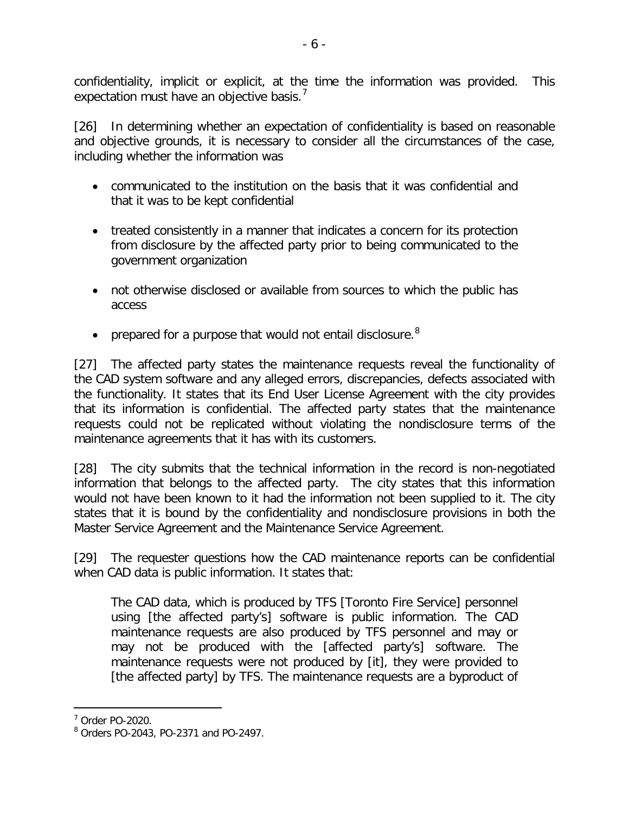confidentiality, implicit or explicit, at the time the information was provided. This expectation must have an objective basis.<sup>[7](#page-5-0)</sup>

[26] In determining whether an expectation of confidentiality is based on reasonable and objective grounds, it is necessary to consider all the circumstances of the case, including whether the information was

- communicated to the institution on the basis that it was confidential and that it was to be kept confidential
- treated consistently in a manner that indicates a concern for its protection from disclosure by the affected party prior to being communicated to the government organization
- not otherwise disclosed or available from sources to which the public has access
- prepared for a purpose that would not entail disclosure.<sup>[8](#page-5-1)</sup>

[27] The affected party states the maintenance requests reveal the functionality of the CAD system software and any alleged errors, discrepancies, defects associated with the functionality. It states that its End User License Agreement with the city provides that its information is confidential. The affected party states that the maintenance requests could not be replicated without violating the nondisclosure terms of the maintenance agreements that it has with its customers.

[28] The city submits that the technical information in the record is non-negotiated information that belongs to the affected party. The city states that this information would not have been known to it had the information not been supplied to it. The city states that it is bound by the confidentiality and nondisclosure provisions in both the Master Service Agreement and the Maintenance Service Agreement.

[29] The requester questions how the CAD maintenance reports can be confidential when CAD data is public information. It states that:

The CAD data, which is produced by TFS [Toronto Fire Service] personnel using [the affected party's] software is public information. The CAD maintenance requests are also produced by TFS personnel and may or may not be produced with the [affected party's] software. The maintenance requests were not produced by [it], they were provided to [the affected party] by TFS. The maintenance requests are a byproduct of

<span id="page-5-0"></span><sup>7</sup> Order PO-2020.

<span id="page-5-1"></span><sup>8</sup> Orders PO-2043, PO-2371 and PO-2497.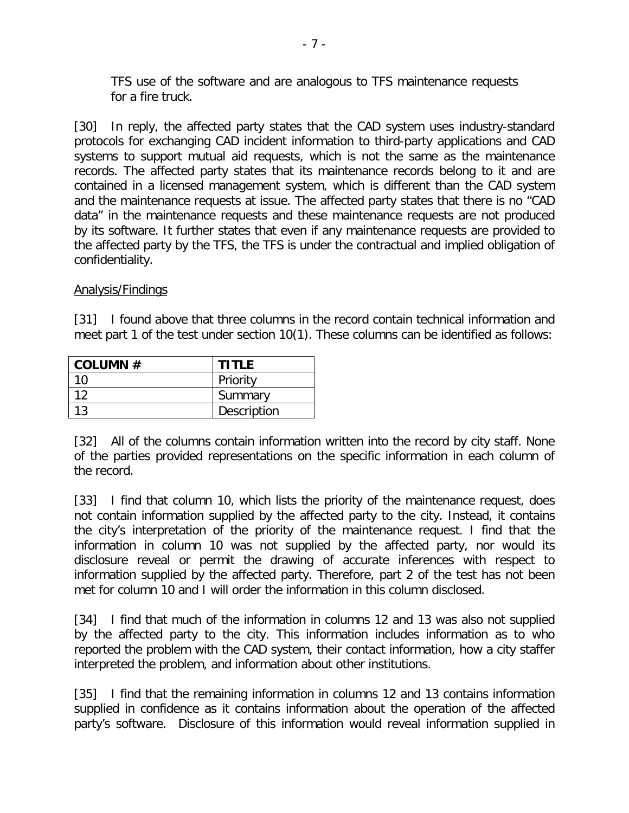TFS use of the software and are analogous to TFS maintenance requests for a fire truck.

[30] In reply, the affected party states that the CAD system uses industry-standard protocols for exchanging CAD incident information to third-party applications and CAD systems to support mutual aid requests, which is not the same as the maintenance records. The affected party states that its maintenance records belong to it and are contained in a licensed management system, which is different than the CAD system and the maintenance requests at issue. The affected party states that there is no "CAD data" in the maintenance requests and these maintenance requests are not produced by its software. It further states that even if any maintenance requests are provided to the affected party by the TFS, the TFS is under the contractual and implied obligation of confidentiality.

#### Analysis/Findings

[31] I found above that three columns in the record contain technical information and meet part 1 of the test under section 10(1). These columns can be identified as follows:

| COLUMN $#$ | <b>TITLE</b> |
|------------|--------------|
| 10         | Priority     |
| 12         | Summary      |
| 13         | Description  |

[32] All of the columns contain information written into the record by city staff. None of the parties provided representations on the specific information in each column of the record.

[33] I find that column 10, which lists the priority of the maintenance request, does not contain information supplied by the affected party to the city. Instead, it contains the city's interpretation of the priority of the maintenance request. I find that the information in column 10 was not supplied by the affected party, nor would its disclosure reveal or permit the drawing of accurate inferences with respect to information supplied by the affected party. Therefore, part 2 of the test has not been met for column 10 and I will order the information in this column disclosed.

[34] I find that much of the information in columns 12 and 13 was also not supplied by the affected party to the city. This information includes information as to who reported the problem with the CAD system, their contact information, how a city staffer interpreted the problem, and information about other institutions.

[35] I find that the remaining information in columns 12 and 13 contains information supplied in confidence as it contains information about the operation of the affected party's software. Disclosure of this information would reveal information supplied in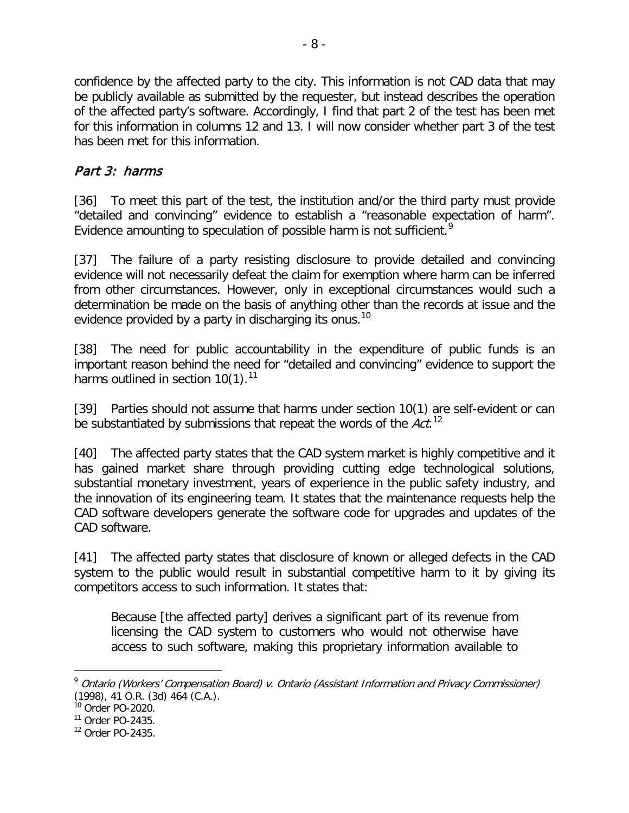confidence by the affected party to the city. This information is not CAD data that may be publicly available as submitted by the requester, but instead describes the operation of the affected party's software. Accordingly, I find that part 2 of the test has been met for this information in columns 12 and 13. I will now consider whether part 3 of the test has been met for this information.

# Part 3: harms

[36] To meet this part of the test, the institution and/or the third party must provide "detailed and convincing" evidence to establish a "reasonable expectation of harm". Evidence amounting to speculation of possible harm is not sufficient.<sup>[9](#page-7-0)</sup>

[37] The failure of a party resisting disclosure to provide detailed and convincing evidence will not necessarily defeat the claim for exemption where harm can be inferred from other circumstances. However, only in exceptional circumstances would such a determination be made on the basis of anything other than the records at issue and the evidence provided by a party in discharging its onus.<sup>[10](#page-7-1)</sup>

[38] The need for public accountability in the expenditure of public funds is an important reason behind the need for "detailed and convincing" evidence to support the harms outlined in section 10(1).<sup>[11](#page-7-2)</sup>

[39] Parties should not assume that harms under section 10(1) are self-evident or can be substantiated by submissions that repeat the words of the  $Act.$ <sup>[12](#page-7-3)</sup>

[40] The affected party states that the CAD system market is highly competitive and it has gained market share through providing cutting edge technological solutions, substantial monetary investment, years of experience in the public safety industry, and the innovation of its engineering team. It states that the maintenance requests help the CAD software developers generate the software code for upgrades and updates of the CAD software.

[41] The affected party states that disclosure of known or alleged defects in the CAD system to the public would result in substantial competitive harm to it by giving its competitors access to such information. It states that:

Because [the affected party] derives a significant part of its revenue from licensing the CAD system to customers who would not otherwise have access to such software, making this proprietary information available to

<span id="page-7-0"></span><sup>&</sup>lt;sup>9</sup> Ontario (Workers' Compensation Board) v. Ontario (Assistant Information and Privacy Commissioner) (1998), 41 O.R. (3d) 464 (C.A.).

<span id="page-7-1"></span><sup>10</sup> Order PO-2020.

<span id="page-7-2"></span><sup>11</sup> Order PO-2435.

<span id="page-7-3"></span> $12$  Order PO-2435.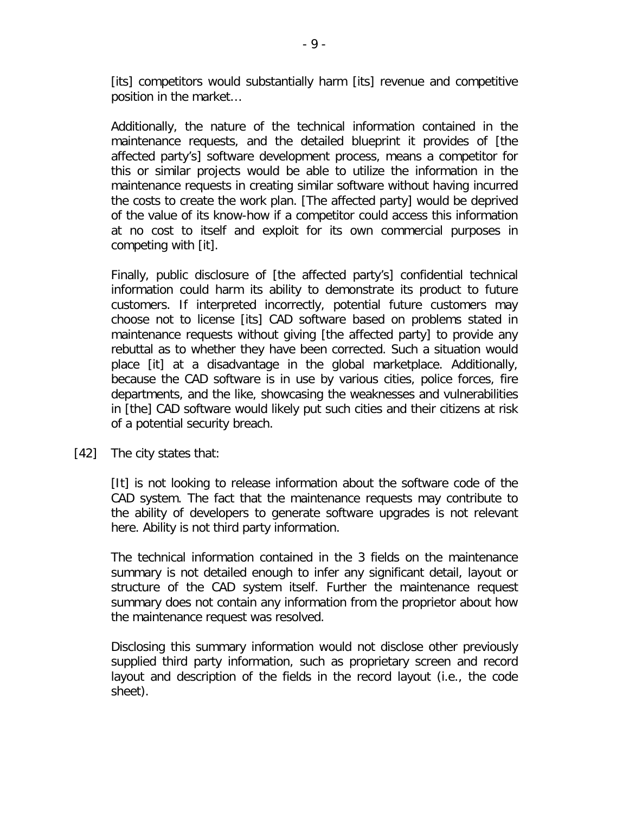[its] competitors would substantially harm [its] revenue and competitive position in the market…

Additionally, the nature of the technical information contained in the maintenance requests, and the detailed blueprint it provides of [the affected party's] software development process, means a competitor for this or similar projects would be able to utilize the information in the maintenance requests in creating similar software without having incurred the costs to create the work plan. [The affected party] would be deprived of the value of its know-how if a competitor could access this information at no cost to itself and exploit for its own commercial purposes in competing with [it].

Finally, public disclosure of [the affected party's] confidential technical information could harm its ability to demonstrate its product to future customers. If interpreted incorrectly, potential future customers may choose not to license [its] CAD software based on problems stated in maintenance requests without giving [the affected party] to provide any rebuttal as to whether they have been corrected. Such a situation would place [it] at a disadvantage in the global marketplace. Additionally, because the CAD software is in use by various cities, police forces, fire departments, and the like, showcasing the weaknesses and vulnerabilities in [the] CAD software would likely put such cities and their citizens at risk of a potential security breach.

[42] The city states that:

[It] is not looking to release information about the software code of the CAD system. The fact that the maintenance requests may contribute to the ability of developers to generate software upgrades is not relevant here. Ability is not third party information.

The technical information contained in the 3 fields on the maintenance summary is not detailed enough to infer any significant detail, layout or structure of the CAD system itself. Further the maintenance request summary does not contain any information from the proprietor about how the maintenance request was resolved.

Disclosing this summary information would not disclose other previously supplied third party information, such as proprietary screen and record layout and description of the fields in the record layout (i.e., the code sheet).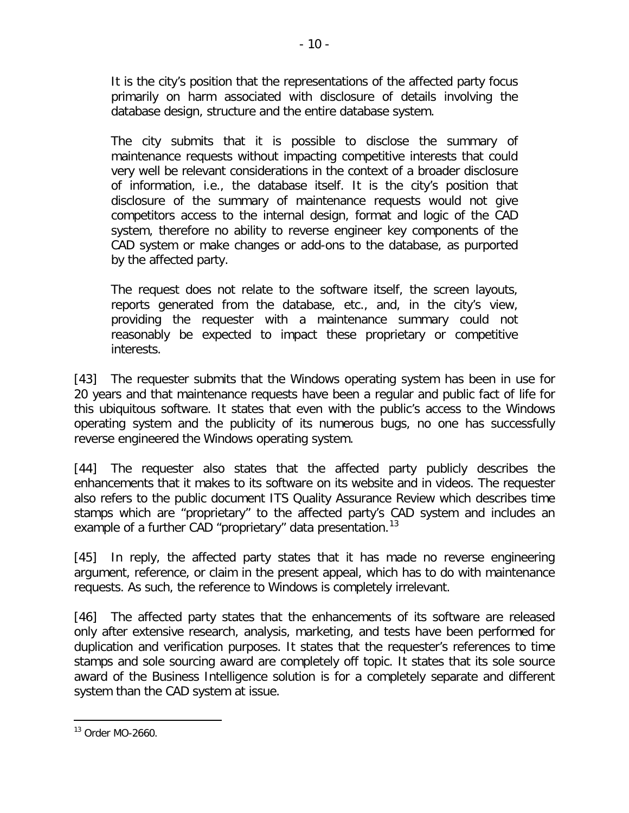It is the city's position that the representations of the affected party focus primarily on harm associated with disclosure of details involving the database design, structure and the entire database system.

The city submits that it is possible to disclose the summary of maintenance requests without impacting competitive interests that could very well be relevant considerations in the context of a broader disclosure of information, i.e., the database itself. It is the city's position that disclosure of the summary of maintenance requests would not give competitors access to the internal design, format and logic of the CAD system, therefore no ability to reverse engineer key components of the CAD system or make changes or add-ons to the database, as purported by the affected party.

The request does not relate to the software itself, the screen layouts, reports generated from the database, etc., and, in the city's view, providing the requester with a maintenance summary could not reasonably be expected to impact these proprietary or competitive interests.

[43] The requester submits that the Windows operating system has been in use for 20 years and that maintenance requests have been a regular and public fact of life for this ubiquitous software. It states that even with the public's access to the Windows operating system and the publicity of its numerous bugs, no one has successfully reverse engineered the Windows operating system.

[44] The requester also states that the affected party publicly describes the enhancements that it makes to its software on its website and in videos. The requester also refers to the public document ITS Quality Assurance Review which describes time stamps which are "proprietary" to the affected party's CAD system and includes an example of a further CAD "proprietary" data presentation.<sup>[13](#page-9-0)</sup>

[45] In reply, the affected party states that it has made no reverse engineering argument, reference, or claim in the present appeal, which has to do with maintenance requests. As such, the reference to Windows is completely irrelevant.

[46] The affected party states that the enhancements of its software are released only after extensive research, analysis, marketing, and tests have been performed for duplication and verification purposes. It states that the requester's references to time stamps and sole sourcing award are completely off topic. It states that its sole source award of the Business Intelligence solution is for a completely separate and different system than the CAD system at issue.

<span id="page-9-0"></span> $\overline{a}$ <sup>13</sup> Order MO-2660.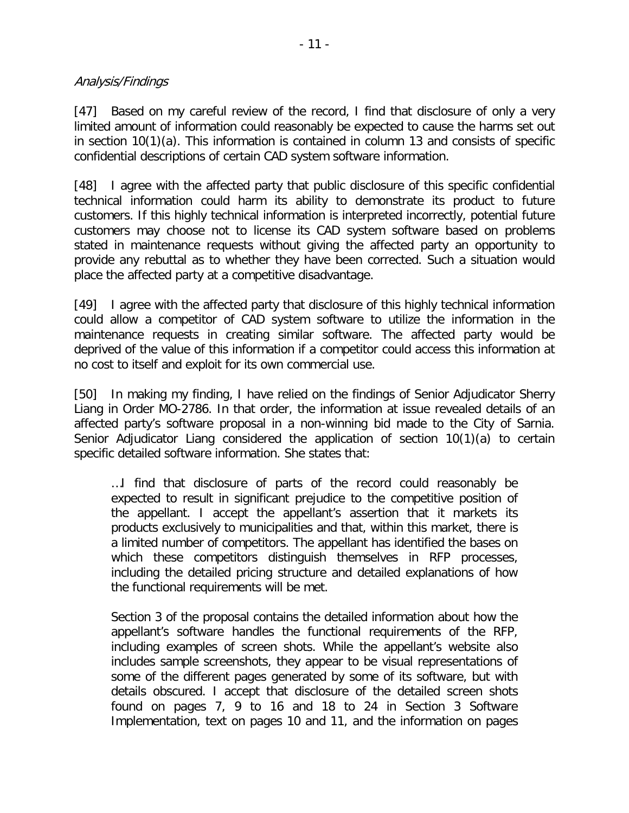#### Analysis/Findings

[47] Based on my careful review of the record, I find that disclosure of only a very limited amount of information could reasonably be expected to cause the harms set out in section 10(1)(a). This information is contained in column 13 and consists of specific confidential descriptions of certain CAD system software information.

[48] I agree with the affected party that public disclosure of this specific confidential technical information could harm its ability to demonstrate its product to future customers. If this highly technical information is interpreted incorrectly, potential future customers may choose not to license its CAD system software based on problems stated in maintenance requests without giving the affected party an opportunity to provide any rebuttal as to whether they have been corrected. Such a situation would place the affected party at a competitive disadvantage.

[49] I agree with the affected party that disclosure of this highly technical information could allow a competitor of CAD system software to utilize the information in the maintenance requests in creating similar software. The affected party would be deprived of the value of this information if a competitor could access this information at no cost to itself and exploit for its own commercial use.

[50] In making my finding, I have relied on the findings of Senior Adjudicator Sherry Liang in Order MO-2786. In that order, the information at issue revealed details of an affected party's software proposal in a non-winning bid made to the City of Sarnia. Senior Adjudicator Liang considered the application of section 10(1)(a) to certain specific detailed software information. She states that:

…I find that disclosure of parts of the record could reasonably be expected to result in significant prejudice to the competitive position of the appellant. I accept the appellant's assertion that it markets its products exclusively to municipalities and that, within this market, there is a limited number of competitors. The appellant has identified the bases on which these competitors distinguish themselves in RFP processes, including the detailed pricing structure and detailed explanations of how the functional requirements will be met.

Section 3 of the proposal contains the detailed information about how the appellant's software handles the functional requirements of the RFP, including examples of screen shots. While the appellant's website also includes sample screenshots, they appear to be visual representations of some of the different pages generated by some of its software, but with details obscured. I accept that disclosure of the detailed screen shots found on pages 7, 9 to 16 and 18 to 24 in Section 3 Software Implementation, text on pages 10 and 11, and the information on pages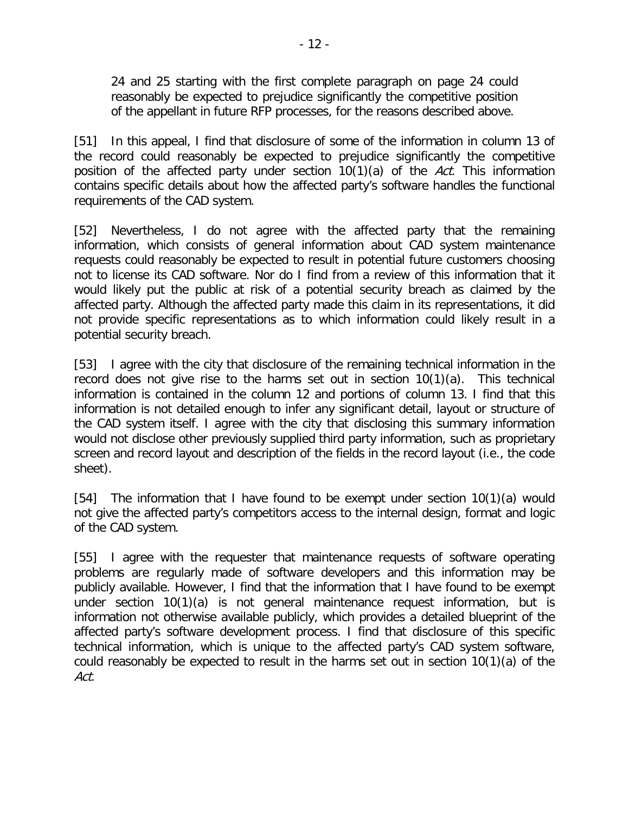24 and 25 starting with the first complete paragraph on page 24 could reasonably be expected to prejudice significantly the competitive position of the appellant in future RFP processes, for the reasons described above.

[51] In this appeal, I find that disclosure of some of the information in column 13 of the record could reasonably be expected to prejudice significantly the competitive position of the affected party under section  $10(1)(a)$  of the Act. This information contains specific details about how the affected party's software handles the functional requirements of the CAD system.

[52] Nevertheless, I do not agree with the affected party that the remaining information, which consists of general information about CAD system maintenance requests could reasonably be expected to result in potential future customers choosing not to license its CAD software. Nor do I find from a review of this information that it would likely put the public at risk of a potential security breach as claimed by the affected party. Although the affected party made this claim in its representations, it did not provide specific representations as to which information could likely result in a potential security breach.

[53] I agree with the city that disclosure of the remaining technical information in the record does not give rise to the harms set out in section 10(1)(a). This technical information is contained in the column 12 and portions of column 13. I find that this information is not detailed enough to infer any significant detail, layout or structure of the CAD system itself. I agree with the city that disclosing this summary information would not disclose other previously supplied third party information, such as proprietary screen and record layout and description of the fields in the record layout (i.e., the code sheet).

[54] The information that I have found to be exempt under section 10(1)(a) would not give the affected party's competitors access to the internal design, format and logic of the CAD system.

[55] I agree with the requester that maintenance requests of software operating problems are regularly made of software developers and this information may be publicly available. However, I find that the information that I have found to be exempt under section 10(1)(a) is not general maintenance request information, but is information not otherwise available publicly, which provides a detailed blueprint of the affected party's software development process. I find that disclosure of this specific technical information, which is unique to the affected party's CAD system software, could reasonably be expected to result in the harms set out in section 10(1)(a) of the Act.